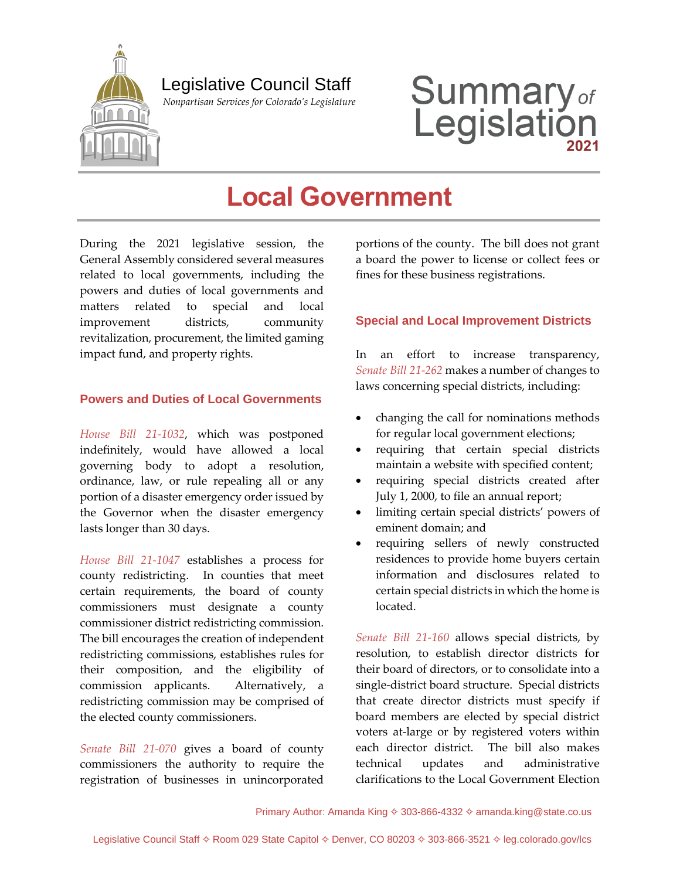

# Legislative Council Staff

 *Nonpartisan Services for Colorado's Legislature*

# **Summary**<sub>of</sub><br>Legislation

# **Local Government**

During the 2021 legislative session, the General Assembly considered several measures related to local governments, including the powers and duties of local governments and matters related to special and local improvement districts, community revitalization, procurement, the limited gaming impact fund, and property rights.

# **Powers and Duties of Local Governments**

*[House Bill 21-1032](http://leg.colorado.gov/bills/hb21-1032)*, which was postponed indefinitely, would have allowed a local governing body to adopt a resolution, ordinance, law, or rule repealing all or any portion of a disaster emergency order issued by the Governor when the disaster emergency lasts longer than 30 days.

*[House Bill 21-1047](http://leg.colorado.gov/bills/hb21-1047)* establishes a process for county redistricting. In counties that meet certain requirements, the board of county commissioners must designate a county commissioner district redistricting commission. The bill encourages the creation of independent redistricting commissions, establishes rules for their composition, and the eligibility of commission applicants. Alternatively, a redistricting commission may be comprised of the elected county commissioners.

*[Senate Bill 21-070](http://leg.colorado.gov/bills/sb21-070)* gives a board of county commissioners the authority to require the registration of businesses in unincorporated portions of the county. The bill does not grant a board the power to license or collect fees or fines for these business registrations.

# **Special and Local Improvement Districts**

In an effort to increase transparency, *Senate Bill [21-262](http://leg.colorado.gov/bills/sb21-262)* makes a number of changes to laws concerning special districts, including:

- changing the call for nominations methods for regular local government elections;
- requiring that certain special districts maintain a website with specified content;
- requiring special districts created after July 1, 2000, to file an annual report;
- limiting certain special districts' powers of eminent domain; and
- requiring sellers of newly constructed residences to provide home buyers certain information and disclosures related to certain special districts in which the home is located.

*[Senate Bill 21-160](http://leg.colorado.gov/bills/sb21-160)* allows special districts, by resolution, to establish director districts for their board of directors, or to consolidate into a single-district board structure. Special districts that create director districts must specify if board members are elected by special district voters at-large or by registered voters within each director district. The bill also makes technical updates and administrative clarifications to the Local Government Election